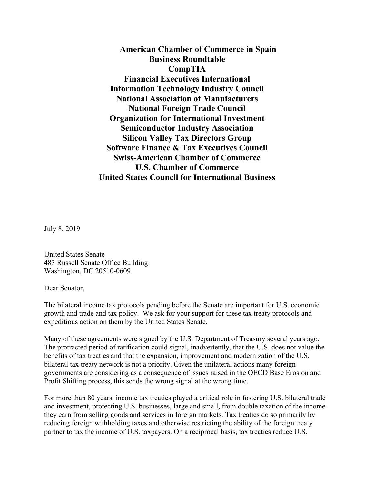**American Chamber of Commerce in Spain Business Roundtable CompTIA Financial Executives International Information Technology Industry Council National Association of Manufacturers National Foreign Trade Council Organization for International Investment Semiconductor Industry Association Silicon Valley Tax Directors Group Software Finance & Tax Executives Council Swiss-American Chamber of Commerce U.S. Chamber of Commerce United States Council for International Business**

July 8, 2019

United States Senate 483 Russell Senate Office Building Washington, DC 20510-0609

Dear Senator,

The bilateral income tax protocols pending before the Senate are important for U.S. economic growth and trade and tax policy. We ask for your support for these tax treaty protocols and expeditious action on them by the United States Senate.

Many of these agreements were signed by the U.S. Department of Treasury several years ago. The protracted period of ratification could signal, inadvertently, that the U.S. does not value the benefits of tax treaties and that the expansion, improvement and modernization of the U.S. bilateral tax treaty network is not a priority. Given the unilateral actions many foreign governments are considering as a consequence of issues raised in the OECD Base Erosion and Profit Shifting process, this sends the wrong signal at the wrong time.

For more than 80 years, income tax treaties played a critical role in fostering U.S. bilateral trade and investment, protecting U.S. businesses, large and small, from double taxation of the income they earn from selling goods and services in foreign markets. Tax treaties do so primarily by reducing foreign withholding taxes and otherwise restricting the ability of the foreign treaty partner to tax the income of U.S. taxpayers. On a reciprocal basis, tax treaties reduce U.S.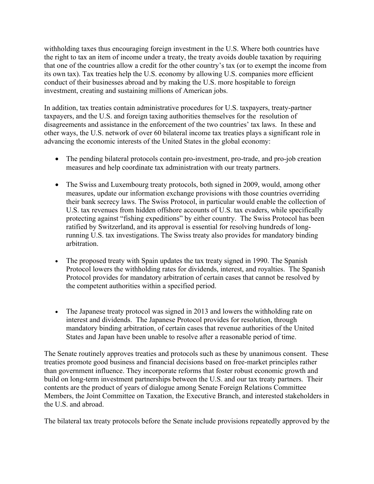withholding taxes thus encouraging foreign investment in the U.S. Where both countries have the right to tax an item of income under a treaty, the treaty avoids double taxation by requiring that one of the countries allow a credit for the other country's tax (or to exempt the income from its own tax). Tax treaties help the U.S. economy by allowing U.S. companies more efficient conduct of their businesses abroad and by making the U.S. more hospitable to foreign investment, creating and sustaining millions of American jobs.

In addition, tax treaties contain administrative procedures for U.S. taxpayers, treaty-partner taxpayers, and the U.S. and foreign taxing authorities themselves for the resolution of disagreements and assistance in the enforcement of the two countries' tax laws. In these and other ways, the U.S. network of over 60 bilateral income tax treaties plays a significant role in advancing the economic interests of the United States in the global economy:

- The pending bilateral protocols contain pro-investment, pro-trade, and pro-job creation measures and help coordinate tax administration with our treaty partners.
- The Swiss and Luxembourg treaty protocols, both signed in 2009, would, among other measures, update our information exchange provisions with those countries overriding their bank secrecy laws. The Swiss Protocol, in particular would enable the collection of U.S. tax revenues from hidden offshore accounts of U.S. tax evaders, while specifically protecting against "fishing expeditions" by either country. The Swiss Protocol has been ratified by Switzerland, and its approval is essential for resolving hundreds of longrunning U.S. tax investigations. The Swiss treaty also provides for mandatory binding arbitration.
- The proposed treaty with Spain updates the tax treaty signed in 1990. The Spanish Protocol lowers the withholding rates for dividends, interest, and royalties. The Spanish Protocol provides for mandatory arbitration of certain cases that cannot be resolved by the competent authorities within a specified period.
- The Japanese treaty protocol was signed in 2013 and lowers the withholding rate on interest and dividends. The Japanese Protocol provides for resolution, through mandatory binding arbitration, of certain cases that revenue authorities of the United States and Japan have been unable to resolve after a reasonable period of time.

The Senate routinely approves treaties and protocols such as these by unanimous consent. These treaties promote good business and financial decisions based on free-market principles rather than government influence. They incorporate reforms that foster robust economic growth and build on long-term investment partnerships between the U.S. and our tax treaty partners. Their contents are the product of years of dialogue among Senate Foreign Relations Committee Members, the Joint Committee on Taxation, the Executive Branch, and interested stakeholders in the U.S. and abroad.

The bilateral tax treaty protocols before the Senate include provisions repeatedly approved by the